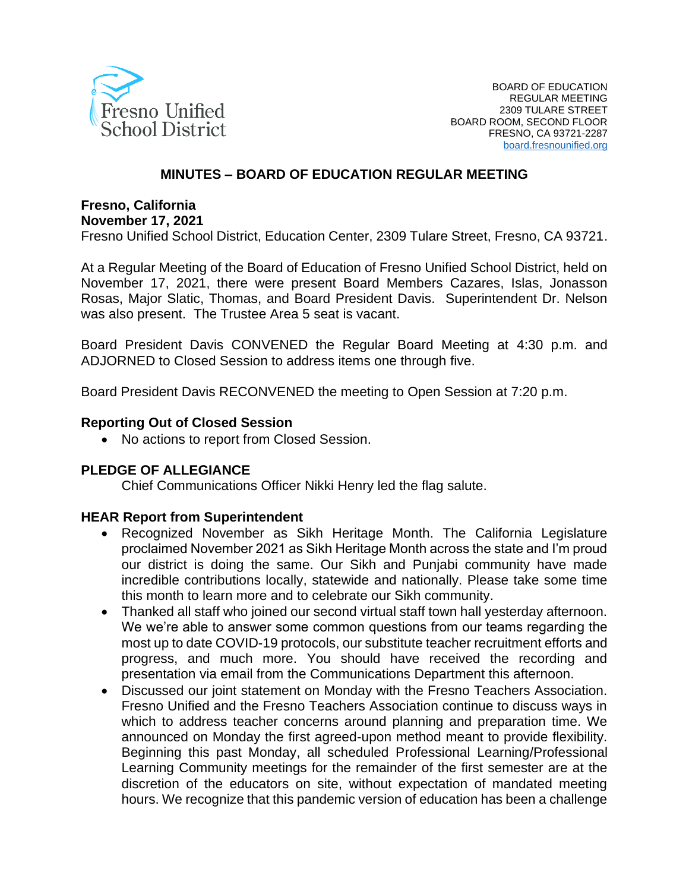

### **MINUTES – BOARD OF EDUCATION REGULAR MEETING**

## **Fresno, California**

**November 17, 2021**

Fresno Unified School District, Education Center, 2309 Tulare Street, Fresno, CA 93721.

At a Regular Meeting of the Board of Education of Fresno Unified School District, held on November 17, 2021, there were present Board Members Cazares, Islas, Jonasson Rosas, Major Slatic, Thomas, and Board President Davis. Superintendent Dr. Nelson was also present. The Trustee Area 5 seat is vacant.

Board President Davis CONVENED the Regular Board Meeting at 4:30 p.m. and ADJORNED to Closed Session to address items one through five.

Board President Davis RECONVENED the meeting to Open Session at 7:20 p.m.

#### **Reporting Out of Closed Session**

• No actions to report from Closed Session.

#### **PLEDGE OF ALLEGIANCE**

Chief Communications Officer Nikki Henry led the flag salute.

#### **HEAR Report from Superintendent**

- Recognized November as Sikh Heritage Month. The California Legislature proclaimed November 2021 as Sikh Heritage Month across the state and I'm proud our district is doing the same. Our Sikh and Punjabi community have made incredible contributions locally, statewide and nationally. Please take some time this month to learn more and to celebrate our Sikh community.
- Thanked all staff who joined our second virtual staff town hall yesterday afternoon. We we're able to answer some common questions from our teams regarding the most up to date COVID-19 protocols, our substitute teacher recruitment efforts and progress, and much more. You should have received the recording and presentation via email from the Communications Department this afternoon.
- Discussed our joint statement on Monday with the Fresno Teachers Association. Fresno Unified and the Fresno Teachers Association continue to discuss ways in which to address teacher concerns around planning and preparation time. We announced on Monday the first agreed-upon method meant to provide flexibility. Beginning this past Monday, all scheduled Professional Learning/Professional Learning Community meetings for the remainder of the first semester are at the discretion of the educators on site, without expectation of mandated meeting hours. We recognize that this pandemic version of education has been a challenge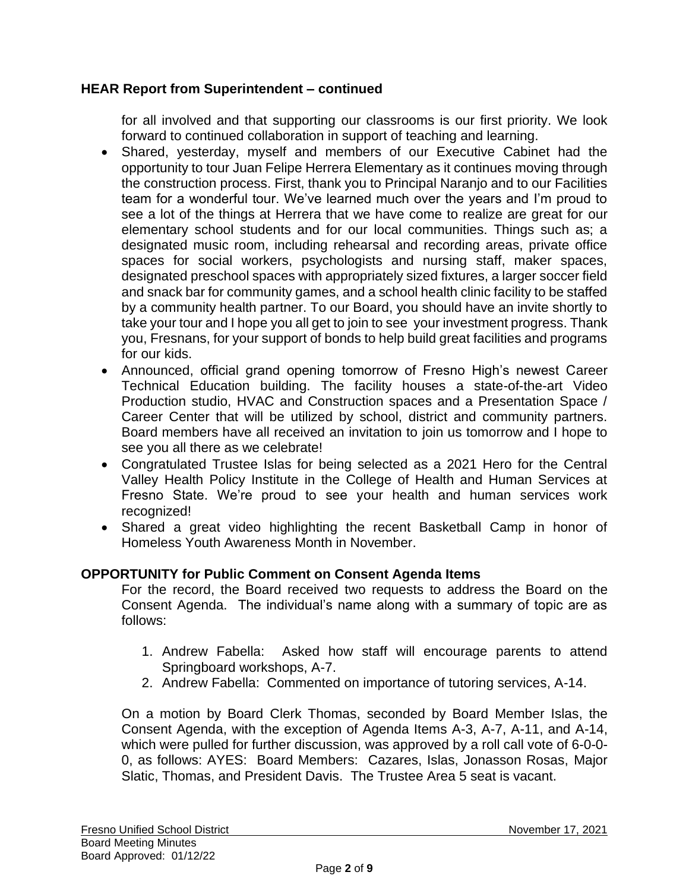## **HEAR Report from Superintendent – continued**

for all involved and that supporting our classrooms is our first priority. We look forward to continued collaboration in support of teaching and learning.

- Shared, yesterday, myself and members of our Executive Cabinet had the opportunity to tour Juan Felipe Herrera Elementary as it continues moving through the construction process. First, thank you to Principal Naranjo and to our Facilities team for a wonderful tour. We've learned much over the years and I'm proud to see a lot of the things at Herrera that we have come to realize are great for our elementary school students and for our local communities. Things such as; a designated music room, including rehearsal and recording areas, private office spaces for social workers, psychologists and nursing staff, maker spaces, designated preschool spaces with appropriately sized fixtures, a larger soccer field and snack bar for community games, and a school health clinic facility to be staffed by a community health partner. To our Board, you should have an invite shortly to take your tour and I hope you all get to join to see your investment progress. Thank you, Fresnans, for your support of bonds to help build great facilities and programs for our kids.
- Announced, official grand opening tomorrow of Fresno High's newest Career Technical Education building. The facility houses a state-of-the-art Video Production studio, HVAC and Construction spaces and a Presentation Space / Career Center that will be utilized by school, district and community partners. Board members have all received an invitation to join us tomorrow and I hope to see you all there as we celebrate!
- Congratulated Trustee Islas for being selected as a 2021 Hero for the Central Valley Health Policy Institute in the College of Health and Human Services at Fresno State. We're proud to see your health and human services work recognized!
- Shared a great video highlighting the recent Basketball Camp in honor of Homeless Youth Awareness Month in November.

## **OPPORTUNITY for Public Comment on Consent Agenda Items**

For the record, the Board received two requests to address the Board on the Consent Agenda. The individual's name along with a summary of topic are as follows:

- 1. Andrew Fabella: Asked how staff will encourage parents to attend Springboard workshops, A-7.
- 2. Andrew Fabella: Commented on importance of tutoring services, A-14.

On a motion by Board Clerk Thomas, seconded by Board Member Islas, the Consent Agenda, with the exception of Agenda Items A-3, A-7, A-11, and A-14, which were pulled for further discussion, was approved by a roll call vote of 6-0-0- 0, as follows: AYES: Board Members: Cazares, Islas, Jonasson Rosas, Major Slatic, Thomas, and President Davis. The Trustee Area 5 seat is vacant.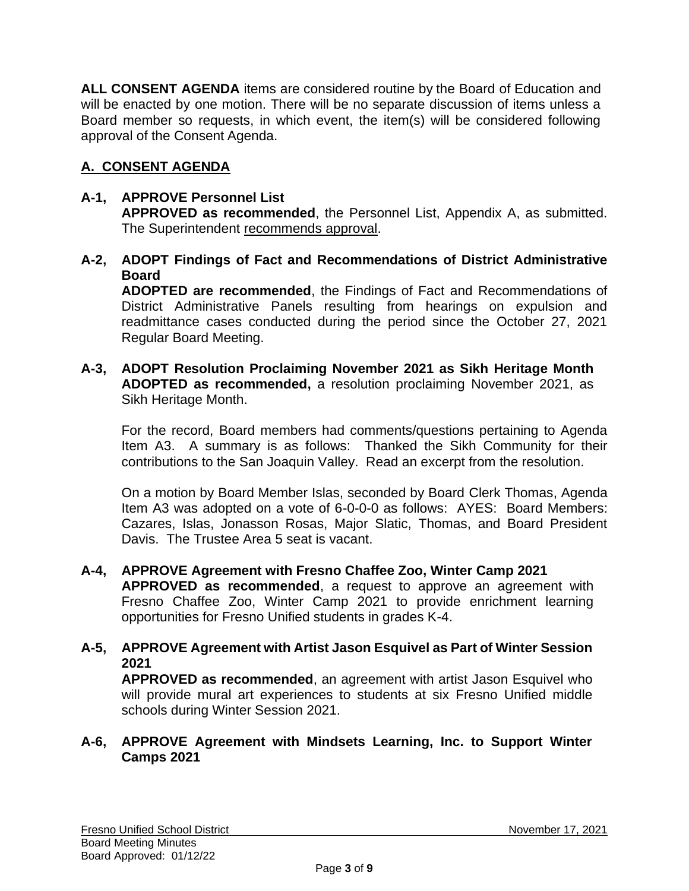**ALL CONSENT AGENDA** items are considered routine by the Board of Education and will be enacted by one motion. There will be no separate discussion of items unless a Board member so requests, in which event, the item(s) will be considered following approval of the Consent Agenda.

# **A. CONSENT AGENDA**

# **A-1, APPROVE Personnel List**

**APPROVED as recommended**, the Personnel List, Appendix A, as submitted. The Superintendent recommends approval.

**A-2, ADOPT Findings of Fact and Recommendations of District Administrative Board**

**ADOPTED are recommended**, the Findings of Fact and Recommendations of District Administrative Panels resulting from hearings on expulsion and readmittance cases conducted during the period since the October 27, 2021 Regular Board Meeting.

**A-3, ADOPT Resolution Proclaiming November 2021 as Sikh Heritage Month ADOPTED as recommended,** a resolution proclaiming November 2021, as Sikh Heritage Month.

For the record, Board members had comments/questions pertaining to Agenda Item A3. A summary is as follows: Thanked the Sikh Community for their contributions to the San Joaquin Valley. Read an excerpt from the resolution.

On a motion by Board Member Islas, seconded by Board Clerk Thomas, Agenda Item A3 was adopted on a vote of 6-0-0-0 as follows: AYES: Board Members: Cazares, Islas, Jonasson Rosas, Major Slatic, Thomas, and Board President Davis. The Trustee Area 5 seat is vacant.

- **A-4, APPROVE Agreement with Fresno Chaffee Zoo, Winter Camp 2021 APPROVED as recommended**, a request to approve an agreement with Fresno Chaffee Zoo, Winter Camp 2021 to provide enrichment learning opportunities for Fresno Unified students in grades K-4.
- **A-5, APPROVE Agreement with Artist Jason Esquivel as Part of Winter Session 2021 APPROVED as recommended**, an agreement with artist Jason Esquivel who will provide mural art experiences to students at six Fresno Unified middle schools during Winter Session 2021.

### **A-6, APPROVE Agreement with Mindsets Learning, Inc. to Support Winter Camps 2021**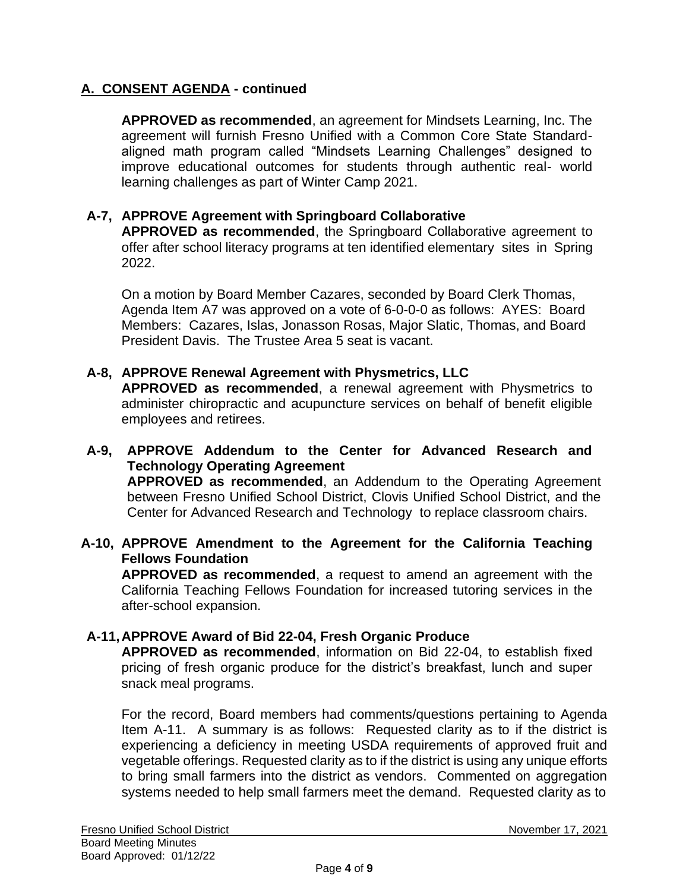**APPROVED as recommended**, an agreement for Mindsets Learning, Inc. The agreement will furnish Fresno Unified with a Common Core State Standardaligned math program called "Mindsets Learning Challenges" designed to improve educational outcomes for students through authentic real- world learning challenges as part of Winter Camp 2021.

## **A-7, APPROVE Agreement with Springboard Collaborative**

**APPROVED as recommended**, the Springboard Collaborative agreement to offer after school literacy programs at ten identified elementary sites in Spring 2022.

On a motion by Board Member Cazares, seconded by Board Clerk Thomas, Agenda Item A7 was approved on a vote of 6-0-0-0 as follows: AYES: Board Members: Cazares, Islas, Jonasson Rosas, Major Slatic, Thomas, and Board President Davis. The Trustee Area 5 seat is vacant.

### **A-8, APPROVE Renewal Agreement with Physmetrics, LLC**

**APPROVED as recommended**, a renewal agreement with Physmetrics to administer chiropractic and acupuncture services on behalf of benefit eligible employees and retirees.

**A-9, APPROVE Addendum to the Center for Advanced Research and Technology Operating Agreement APPROVED as recommended**, an Addendum to the Operating Agreement between Fresno Unified School District, Clovis Unified School District, and the Center for Advanced Research and Technology to replace classroom chairs.

### **A-10, APPROVE Amendment to the Agreement for the California Teaching Fellows Foundation**

**APPROVED as recommended**, a request to amend an agreement with the California Teaching Fellows Foundation for increased tutoring services in the after-school expansion.

### **A-11,APPROVE Award of Bid 22-04, Fresh Organic Produce**

**APPROVED as recommended**, information on Bid 22-04, to establish fixed pricing of fresh organic produce for the district's breakfast, lunch and super snack meal programs.

For the record, Board members had comments/questions pertaining to Agenda Item A-11. A summary is as follows: Requested clarity as to if the district is experiencing a deficiency in meeting USDA requirements of approved fruit and vegetable offerings. Requested clarity as to if the district is using any unique efforts to bring small farmers into the district as vendors. Commented on aggregation systems needed to help small farmers meet the demand. Requested clarity as to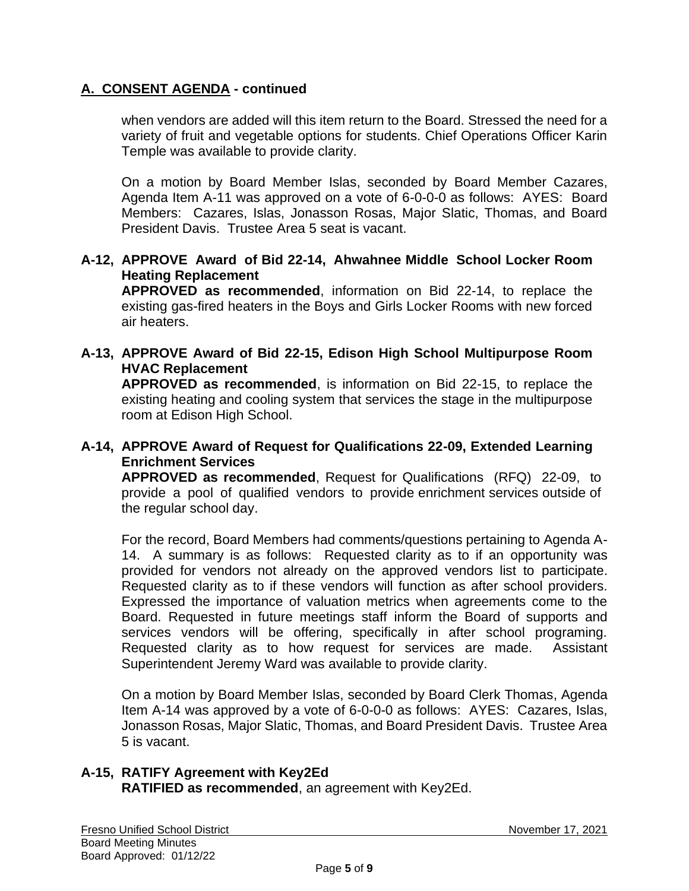when vendors are added will this item return to the Board. Stressed the need for a variety of fruit and vegetable options for students. Chief Operations Officer Karin Temple was available to provide clarity.

On a motion by Board Member Islas, seconded by Board Member Cazares, Agenda Item A-11 was approved on a vote of 6-0-0-0 as follows: AYES: Board Members: Cazares, Islas, Jonasson Rosas, Major Slatic, Thomas, and Board President Davis. Trustee Area 5 seat is vacant.

## **A-12, APPROVE Award of Bid 22-14, Ahwahnee Middle School Locker Room Heating Replacement**

**APPROVED as recommended**, information on Bid 22-14, to replace the existing gas-fired heaters in the Boys and Girls Locker Rooms with new forced air heaters.

**A-13, APPROVE Award of Bid 22-15, Edison High School Multipurpose Room HVAC Replacement APPROVED as recommended**, is information on Bid 22-15, to replace the existing heating and cooling system that services the stage in the multipurpose room at Edison High School.

## **A-14, APPROVE Award of Request for Qualifications 22-09, Extended Learning Enrichment Services**

**APPROVED as recommended**, Request for Qualifications (RFQ) 22-09, to provide a pool of qualified vendors to provide enrichment services outside of the regular school day.

For the record, Board Members had comments/questions pertaining to Agenda A-14. A summary is as follows: Requested clarity as to if an opportunity was provided for vendors not already on the approved vendors list to participate. Requested clarity as to if these vendors will function as after school providers. Expressed the importance of valuation metrics when agreements come to the Board. Requested in future meetings staff inform the Board of supports and services vendors will be offering, specifically in after school programing. Requested clarity as to how request for services are made. Assistant Superintendent Jeremy Ward was available to provide clarity.

On a motion by Board Member Islas, seconded by Board Clerk Thomas, Agenda Item A-14 was approved by a vote of 6-0-0-0 as follows: AYES: Cazares, Islas, Jonasson Rosas, Major Slatic, Thomas, and Board President Davis. Trustee Area 5 is vacant.

#### **A-15, RATIFY Agreement with Key2Ed RATIFIED as recommended**, an agreement with Key2Ed.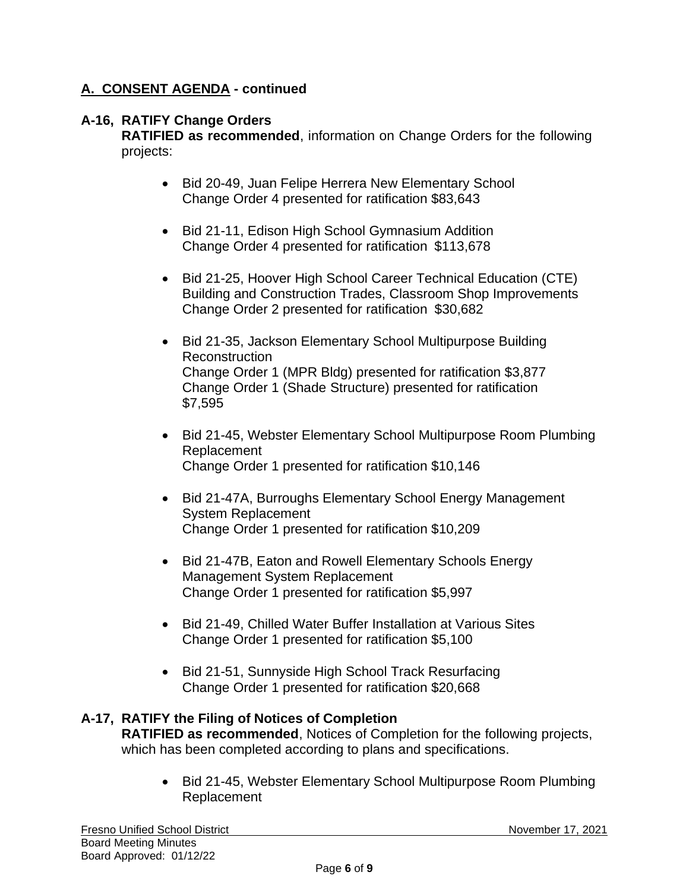### **A-16, RATIFY Change Orders**

**RATIFIED as recommended**, information on Change Orders for the following projects:

- Bid 20-49, Juan Felipe Herrera New Elementary School Change Order 4 presented for ratification \$83,643
- Bid 21-11, Edison High School Gymnasium Addition Change Order 4 presented for ratification \$113,678
- Bid 21-25, Hoover High School Career Technical Education (CTE) Building and Construction Trades, Classroom Shop Improvements Change Order 2 presented for ratification \$30,682
- Bid 21-35, Jackson Elementary School Multipurpose Building Reconstruction Change Order 1 (MPR Bldg) presented for ratification \$3,877 Change Order 1 (Shade Structure) presented for ratification \$7,595
- Bid 21-45, Webster Elementary School Multipurpose Room Plumbing Replacement Change Order 1 presented for ratification \$10,146
- Bid 21-47A, Burroughs Elementary School Energy Management System Replacement Change Order 1 presented for ratification \$10,209
- Bid 21-47B, Eaton and Rowell Elementary Schools Energy Management System Replacement Change Order 1 presented for ratification \$5,997
- Bid 21-49, Chilled Water Buffer Installation at Various Sites Change Order 1 presented for ratification \$5,100
- Bid 21-51, Sunnyside High School Track Resurfacing Change Order 1 presented for ratification \$20,668

## **A-17, RATIFY the Filing of Notices of Completion**

**RATIFIED as recommended**, Notices of Completion for the following projects, which has been completed according to plans and specifications.

• Bid 21-45, Webster Elementary School Multipurpose Room Plumbing Replacement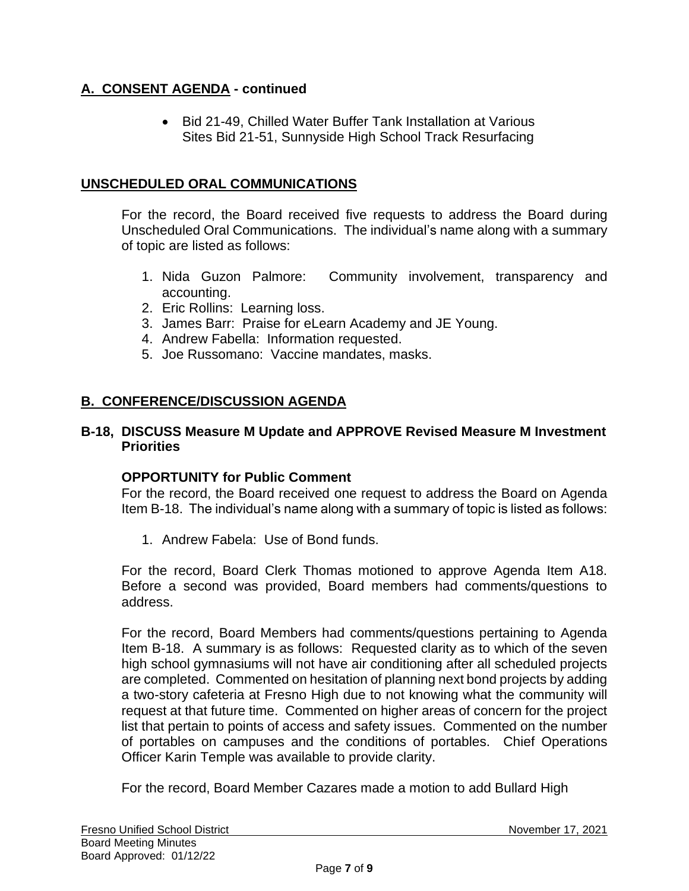• Bid 21-49, Chilled Water Buffer Tank Installation at Various Sites Bid 21-51, Sunnyside High School Track Resurfacing

## **UNSCHEDULED ORAL COMMUNICATIONS**

For the record, the Board received five requests to address the Board during Unscheduled Oral Communications. The individual's name along with a summary of topic are listed as follows:

- 1. Nida Guzon Palmore: Community involvement, transparency and accounting.
- 2. Eric Rollins: Learning loss.
- 3. James Barr: Praise for eLearn Academy and JE Young.
- 4. Andrew Fabella: Information requested.
- 5. Joe Russomano: Vaccine mandates, masks.

# **B. CONFERENCE/DISCUSSION AGENDA**

### **B-18, DISCUSS Measure M Update and APPROVE Revised Measure M Investment Priorities**

### **OPPORTUNITY for Public Comment**

For the record, the Board received one request to address the Board on Agenda Item B-18. The individual's name along with a summary of topic is listed as follows:

1. Andrew Fabela: Use of Bond funds.

For the record, Board Clerk Thomas motioned to approve Agenda Item A18. Before a second was provided, Board members had comments/questions to address.

For the record, Board Members had comments/questions pertaining to Agenda Item B-18. A summary is as follows: Requested clarity as to which of the seven high school gymnasiums will not have air conditioning after all scheduled projects are completed. Commented on hesitation of planning next bond projects by adding a two-story cafeteria at Fresno High due to not knowing what the community will request at that future time. Commented on higher areas of concern for the project list that pertain to points of access and safety issues. Commented on the number of portables on campuses and the conditions of portables. Chief Operations Officer Karin Temple was available to provide clarity.

For the record, Board Member Cazares made a motion to add Bullard High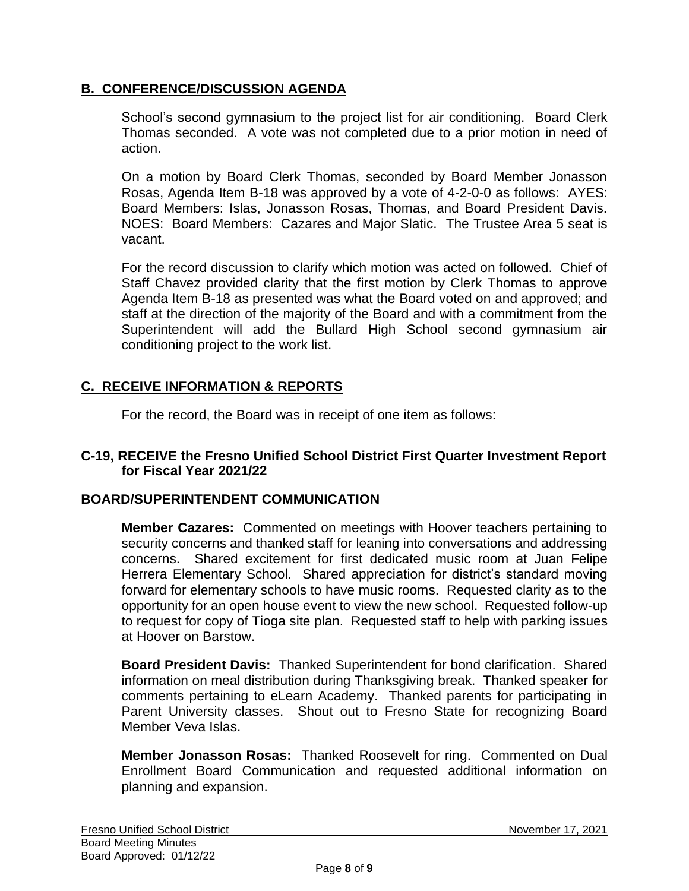## **B. CONFERENCE/DISCUSSION AGENDA**

School's second gymnasium to the project list for air conditioning. Board Clerk Thomas seconded. A vote was not completed due to a prior motion in need of action.

On a motion by Board Clerk Thomas, seconded by Board Member Jonasson Rosas, Agenda Item B-18 was approved by a vote of 4-2-0-0 as follows: AYES: Board Members: Islas, Jonasson Rosas, Thomas, and Board President Davis. NOES: Board Members: Cazares and Major Slatic. The Trustee Area 5 seat is vacant.

For the record discussion to clarify which motion was acted on followed. Chief of Staff Chavez provided clarity that the first motion by Clerk Thomas to approve Agenda Item B-18 as presented was what the Board voted on and approved; and staff at the direction of the majority of the Board and with a commitment from the Superintendent will add the Bullard High School second gymnasium air conditioning project to the work list.

# **C. RECEIVE INFORMATION & REPORTS**

For the record, the Board was in receipt of one item as follows:

### **C-19, RECEIVE the Fresno Unified School District First Quarter Investment Report for Fiscal Year 2021/22**

## **BOARD/SUPERINTENDENT COMMUNICATION**

**Member Cazares:** Commented on meetings with Hoover teachers pertaining to security concerns and thanked staff for leaning into conversations and addressing concerns. Shared excitement for first dedicated music room at Juan Felipe Herrera Elementary School. Shared appreciation for district's standard moving forward for elementary schools to have music rooms. Requested clarity as to the opportunity for an open house event to view the new school. Requested follow-up to request for copy of Tioga site plan. Requested staff to help with parking issues at Hoover on Barstow.

**Board President Davis:** Thanked Superintendent for bond clarification. Shared information on meal distribution during Thanksgiving break. Thanked speaker for comments pertaining to eLearn Academy. Thanked parents for participating in Parent University classes. Shout out to Fresno State for recognizing Board Member Veva Islas.

**Member Jonasson Rosas:** Thanked Roosevelt for ring. Commented on Dual Enrollment Board Communication and requested additional information on planning and expansion.